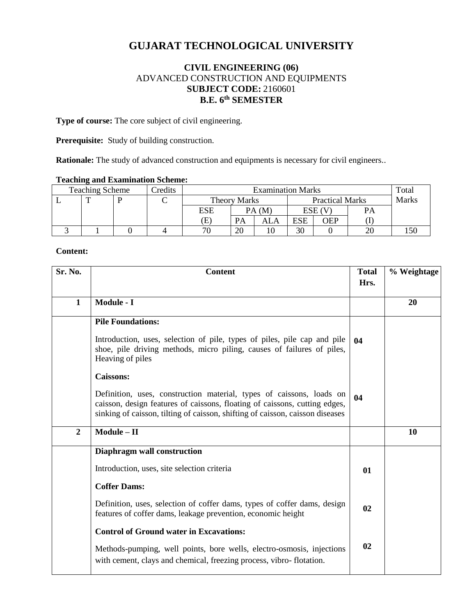# **GUJARAT TECHNOLOGICAL UNIVERSITY**

# **CIVIL ENGINEERING (06)** ADVANCED CONSTRUCTION AND EQUIPMENTS **SUBJECT CODE:** 2160601 **B.E. 6 th SEMESTER**

**Type of course:** The core subject of civil engineering.

**Prerequisite:** Study of building construction.

**Rationale:** The study of advanced construction and equipments is necessary for civil engineers..

## **Teaching and Examination Scheme:**

| <b>Teaching Scheme</b> |  |  | Credits | <b>Examination Marks</b> |        |                        |            |     | Totai |  |
|------------------------|--|--|---------|--------------------------|--------|------------------------|------------|-----|-------|--|
|                        |  |  |         | <b>Theory Marks</b>      |        | <b>Practical Marks</b> |            |     | Marks |  |
|                        |  |  |         | ESE                      | PA (M) |                        | ESE (V     |     |       |  |
|                        |  |  |         | Œ                        | PA     | ALA                    | <b>ESE</b> | OEP |       |  |
|                        |  |  |         | 70                       | 20     |                        | 30         |     |       |  |

#### **Content:**

| Sr. No.        | <b>Content</b>                                                                                                                                                                                                                      | <b>Total</b><br>Hrs. | % Weightage |
|----------------|-------------------------------------------------------------------------------------------------------------------------------------------------------------------------------------------------------------------------------------|----------------------|-------------|
| $\mathbf{1}$   | Module - I                                                                                                                                                                                                                          |                      | 20          |
|                | <b>Pile Foundations:</b>                                                                                                                                                                                                            |                      |             |
|                | Introduction, uses, selection of pile, types of piles, pile cap and pile<br>shoe, pile driving methods, micro piling, causes of failures of piles,<br>Heaving of piles                                                              | 04                   |             |
|                | <b>Caissons:</b>                                                                                                                                                                                                                    |                      |             |
|                | Definition, uses, construction material, types of caissons, loads on<br>caisson, design features of caissons, floating of caissons, cutting edges,<br>sinking of caisson, tilting of caisson, shifting of caisson, caisson diseases | 04                   |             |
| $\overline{2}$ | $Module - II$                                                                                                                                                                                                                       |                      | 10          |
|                | Diaphragm wall construction                                                                                                                                                                                                         |                      |             |
|                | Introduction, uses, site selection criteria                                                                                                                                                                                         | 01                   |             |
|                | <b>Coffer Dams:</b>                                                                                                                                                                                                                 |                      |             |
|                | Definition, uses, selection of coffer dams, types of coffer dams, design<br>features of coffer dams, leakage prevention, economic height                                                                                            | 02                   |             |
|                | <b>Control of Ground water in Excavations:</b>                                                                                                                                                                                      |                      |             |
|                | Methods-pumping, well points, bore wells, electro-osmosis, injections<br>with cement, clays and chemical, freezing process, vibro-flotation.                                                                                        | 02                   |             |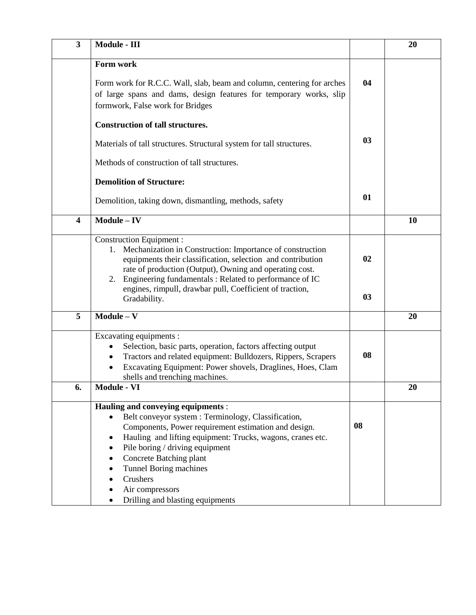| $\overline{\mathbf{3}}$ | Module - $\overline{\text{III}}$                                                                                                                                                                                                                                                                                                                                 |    | 20 |
|-------------------------|------------------------------------------------------------------------------------------------------------------------------------------------------------------------------------------------------------------------------------------------------------------------------------------------------------------------------------------------------------------|----|----|
|                         | Form work                                                                                                                                                                                                                                                                                                                                                        |    |    |
|                         | Form work for R.C.C. Wall, slab, beam and column, centering for arches<br>of large spans and dams, design features for temporary works, slip<br>formwork, False work for Bridges                                                                                                                                                                                 | 04 |    |
|                         | <b>Construction of tall structures.</b>                                                                                                                                                                                                                                                                                                                          |    |    |
|                         | Materials of tall structures. Structural system for tall structures.                                                                                                                                                                                                                                                                                             | 03 |    |
|                         | Methods of construction of tall structures.                                                                                                                                                                                                                                                                                                                      |    |    |
|                         | <b>Demolition of Structure:</b>                                                                                                                                                                                                                                                                                                                                  |    |    |
|                         | Demolition, taking down, dismantling, methods, safety                                                                                                                                                                                                                                                                                                            | 01 |    |
| $\overline{\mathbf{4}}$ | $Module - IV$                                                                                                                                                                                                                                                                                                                                                    |    | 10 |
|                         | <b>Construction Equipment:</b><br>Mechanization in Construction: Importance of construction<br>1.<br>equipments their classification, selection and contribution<br>rate of production (Output), Owning and operating cost.<br>2. Engineering fundamentals: Related to performance of IC                                                                         | 02 |    |
|                         | engines, rimpull, drawbar pull, Coefficient of traction,<br>Gradability.                                                                                                                                                                                                                                                                                         | 03 |    |
| 5                       | $Module - V$                                                                                                                                                                                                                                                                                                                                                     |    | 20 |
|                         | Excavating equipments :<br>Selection, basic parts, operation, factors affecting output<br>Tractors and related equipment: Bulldozers, Rippers, Scrapers<br>Excavating Equipment: Power shovels, Draglines, Hoes, Clam<br>$\bullet$<br>shells and trenching machines.                                                                                             | 08 |    |
| 6.                      | Module - VI                                                                                                                                                                                                                                                                                                                                                      |    | 20 |
|                         | Hauling and conveying equipments :<br>Belt conveyor system : Terminology, Classification,<br>Components, Power requirement estimation and design.<br>Hauling and lifting equipment: Trucks, wagons, cranes etc.<br>$\bullet$<br>Pile boring / driving equipment<br>$\bullet$<br>Concrete Batching plant<br>Tunnel Boring machines<br>Crushers<br>Air compressors | 08 |    |
|                         | Drilling and blasting equipments                                                                                                                                                                                                                                                                                                                                 |    |    |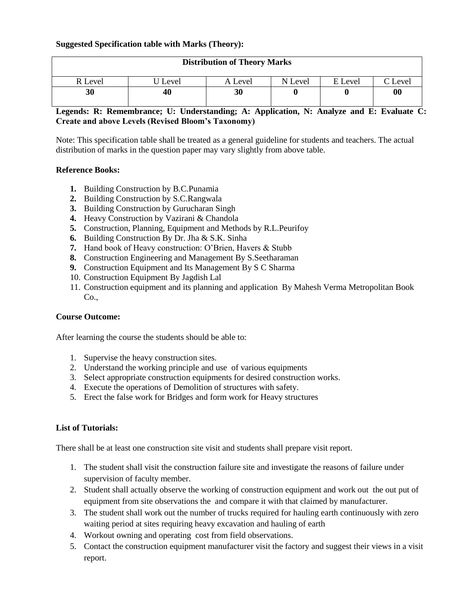## **Suggested Specification table with Marks (Theory):**

| <b>Distribution of Theory Marks</b> |         |         |         |         |         |  |  |
|-------------------------------------|---------|---------|---------|---------|---------|--|--|
| R Level                             | J Level | A Level | N Level | E Level | C Level |  |  |
| 30                                  | 40      | 30      |         |         | 00      |  |  |

# **Legends: R: Remembrance; U: Understanding; A: Application, N: Analyze and E: Evaluate C: Create and above Levels (Revised Bloom's Taxonomy)**

Note: This specification table shall be treated as a general guideline for students and teachers. The actual distribution of marks in the question paper may vary slightly from above table.

#### **Reference Books:**

- **1.** Building Construction by B.C.Punamia
- **2.** Building Construction by S.C.Rangwala
- **3.** Building Construction by Gurucharan Singh
- **4.** Heavy Construction by Vazirani & Chandola
- **5.** Construction, Planning, Equipment and Methods by R.L.Peurifoy
- **6.** Building Construction By Dr. Jha & S.K. Sinha
- **7.** Hand book of Heavy construction: O'Brien, Havers & Stubb
- **8.** Construction Engineering and Management By S.Seetharaman
- **9.** Construction Equipment and Its Management By S C Sharma
- 10. Construction Equipment By Jagdish Lal
- 11. Construction equipment and its planning and application By Mahesh Verma Metropolitan Book  $Co.$

## **Course Outcome:**

After learning the course the students should be able to:

- 1. Supervise the heavy construction sites.
- 2. Understand the working principle and use of various equipments
- 3. Select appropriate construction equipments for desired construction works.
- 4. Execute the operations of Demolition of structures with safety.
- 5. Erect the false work for Bridges and form work for Heavy structures

# **List of Tutorials:**

There shall be at least one construction site visit and students shall prepare visit report.

- 1. The student shall visit the construction failure site and investigate the reasons of failure under supervision of faculty member.
- 2. Student shall actually observe the working of construction equipment and work out the out put of equipment from site observations the and compare it with that claimed by manufacturer.
- 3. The student shall work out the number of trucks required for hauling earth continuously with zero waiting period at sites requiring heavy excavation and hauling of earth
- 4. Workout owning and operating cost from field observations.
- 5. Contact the construction equipment manufacturer visit the factory and suggest their views in a visit report.